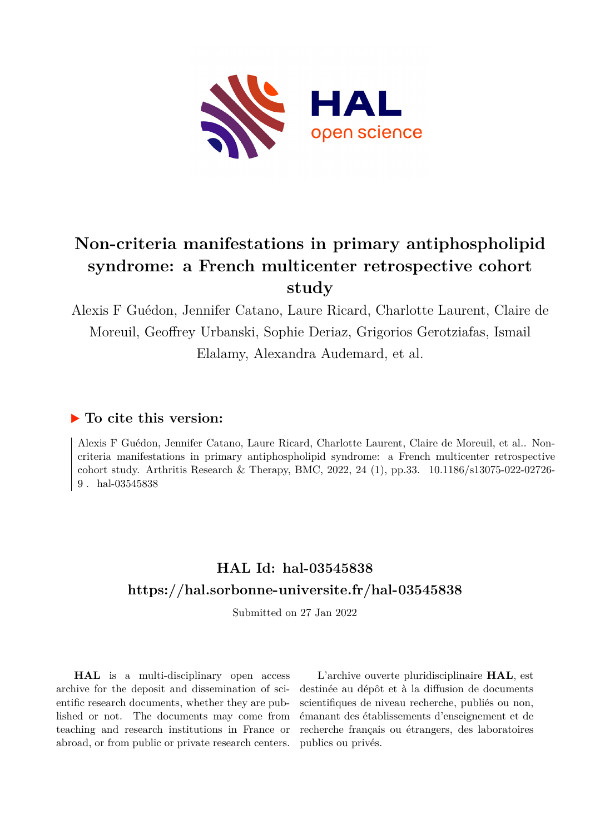

# **Non-criteria manifestations in primary antiphospholipid syndrome: a French multicenter retrospective cohort study**

Alexis F Guédon, Jennifer Catano, Laure Ricard, Charlotte Laurent, Claire de Moreuil, Geoffrey Urbanski, Sophie Deriaz, Grigorios Gerotziafas, Ismail Elalamy, Alexandra Audemard, et al.

# **To cite this version:**

Alexis F Guédon, Jennifer Catano, Laure Ricard, Charlotte Laurent, Claire de Moreuil, et al.. Noncriteria manifestations in primary antiphospholipid syndrome: a French multicenter retrospective cohort study. Arthritis Research & Therapy, BMC, 2022, 24 (1), pp.33. 10.1186/s13075-022-02726-9. hal-03545838

# **HAL Id: hal-03545838 <https://hal.sorbonne-universite.fr/hal-03545838>**

Submitted on 27 Jan 2022

**HAL** is a multi-disciplinary open access archive for the deposit and dissemination of scientific research documents, whether they are published or not. The documents may come from teaching and research institutions in France or abroad, or from public or private research centers.

L'archive ouverte pluridisciplinaire **HAL**, est destinée au dépôt et à la diffusion de documents scientifiques de niveau recherche, publiés ou non, émanant des établissements d'enseignement et de recherche français ou étrangers, des laboratoires publics ou privés.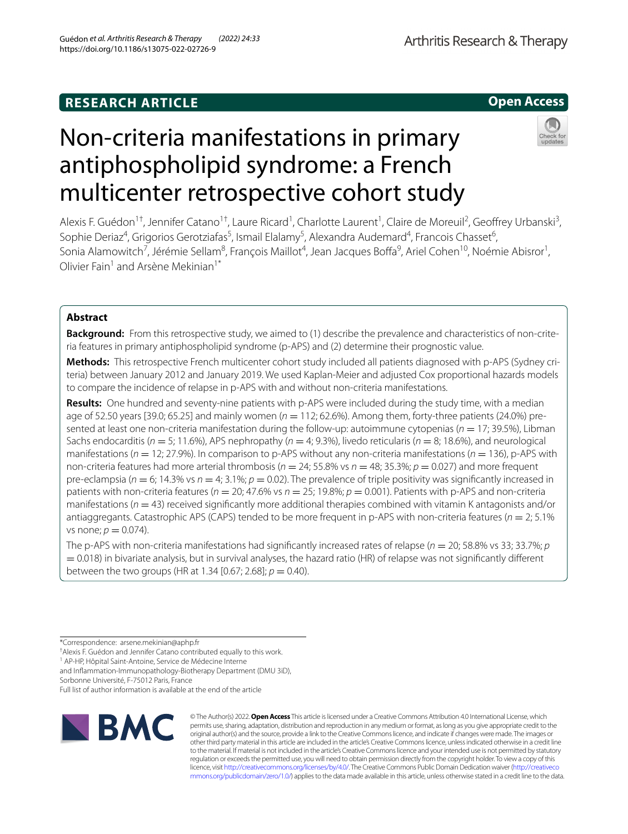# **RESEARCH ARTICLE**

**Open Access**

# Non-criteria manifestations in primary antiphospholipid syndrome: a French multicenter retrospective cohort study



Alexis F. Guédon<sup>1†</sup>, Jennifer Catano<sup>1†</sup>, Laure Ricard<sup>1</sup>, Charlotte Laurent<sup>1</sup>, Claire de Moreuil<sup>2</sup>, Geoffrey Urbanski<sup>3</sup>, Sophie Deriaz<sup>4</sup>, Grigorios Gerotziafas<sup>5</sup>, Ismail Elalamy<sup>5</sup>, Alexandra Audemard<sup>4</sup>, Francois Chasset<sup>6</sup>, Sonia Alamowitch<sup>7</sup>, Jérémie Sellam<sup>8</sup>, François Maillot<sup>4</sup>, Jean Jacques Boffa<sup>9</sup>, Ariel Cohen<sup>10</sup>, Noémie Abisror<sup>1</sup>, Olivier Fain<sup>1</sup> and Arsène Mekinian<sup>1\*</sup>

# **Abstract**

**Background:** From this retrospective study, we aimed to (1) describe the prevalence and characteristics of non-criteria features in primary antiphospholipid syndrome (p-APS) and (2) determine their prognostic value.

**Methods:** This retrospective French multicenter cohort study included all patients diagnosed with p-APS (Sydney criteria) between January 2012 and January 2019. We used Kaplan-Meier and adjusted Cox proportional hazards models to compare the incidence of relapse in p-APS with and without non-criteria manifestations.

**Results:** One hundred and seventy-nine patients with p-APS were included during the study time, with a median age of 52.50 years [39.0; 65.25] and mainly women ( $n = 112$ ; 62.6%). Among them, forty-three patients (24.0%) presented at least one non-criteria manifestation during the follow-up: autoimmune cytopenias (*n* = 17; 39.5%), Libman Sachs endocarditis (*n* = 5; 11.6%), APS nephropathy (*n* = 4; 9.3%), livedo reticularis (*n* = 8; 18.6%), and neurological manifestations (*n* = 12; 27.9%). In comparison to p-APS without any non-criteria manifestations (*n* = 136), p-APS with non-criteria features had more arterial thrombosis (*n* = 24; 55.8% vs *n* = 48; 35.3%; *p* = 0.027) and more frequent pre-eclampsia ( $n = 6$ ; 14.3% vs  $n = 4$ ; 3.1%;  $p = 0.02$ ). The prevalence of triple positivity was significantly increased in patients with non-criteria features ( $n = 20$ ; 47.6% vs  $n = 25$ ; 19.8%;  $p = 0.001$ ). Patients with p-APS and non-criteria manifestations ( $n = 43$ ) received significantly more additional therapies combined with vitamin K antagonists and/or antiaggregants. Catastrophic APS (CAPS) tended to be more frequent in p-APS with non-criteria features (*n* = 2; 5.1% vs none;  $p = 0.074$ ).

The p-APS with non-criteria manifestations had significantly increased rates of relapse ( $n = 20$ ; 58.8% vs 33; 33.7%; *p* = 0.018) in bivariate analysis, but in survival analyses, the hazard ratio (HR) of relapse was not signifcantly diferent between the two groups (HR at 1.34 [0.67; 2.68];  $p = 0.40$ ).

† Alexis F. Guédon and Jennifer Catano contributed equally to this work.

<sup>1</sup> AP-HP, Hôpital Saint-Antoine, Service de Médecine Interne

and Infammation-Immunopathology-Biotherapy Department (DMU 3iD),

Sorbonne Université, F-75012 Paris, France

Full list of author information is available at the end of the article



© The Author(s) 2022. **Open Access** This article is licensed under a Creative Commons Attribution 4.0 International License, which permits use, sharing, adaptation, distribution and reproduction in any medium or format, as long as you give appropriate credit to the original author(s) and the source, provide a link to the Creative Commons licence, and indicate if changes were made. The images or other third party material in this article are included in the article's Creative Commons licence, unless indicated otherwise in a credit line to the material. If material is not included in the article's Creative Commons licence and your intended use is not permitted by statutory regulation or exceeds the permitted use, you will need to obtain permission directly from the copyright holder. To view a copy of this licence, visit [http://creativecommons.org/licenses/by/4.0/.](http://creativecommons.org/licenses/by/4.0/) The Creative Commons Public Domain Dedication waiver ([http://creativeco](http://creativecommons.org/publicdomain/zero/1.0/) [mmons.org/publicdomain/zero/1.0/](http://creativecommons.org/publicdomain/zero/1.0/)) applies to the data made available in this article, unless otherwise stated in a credit line to the data.

<sup>\*</sup>Correspondence: arsene.mekinian@aphp.fr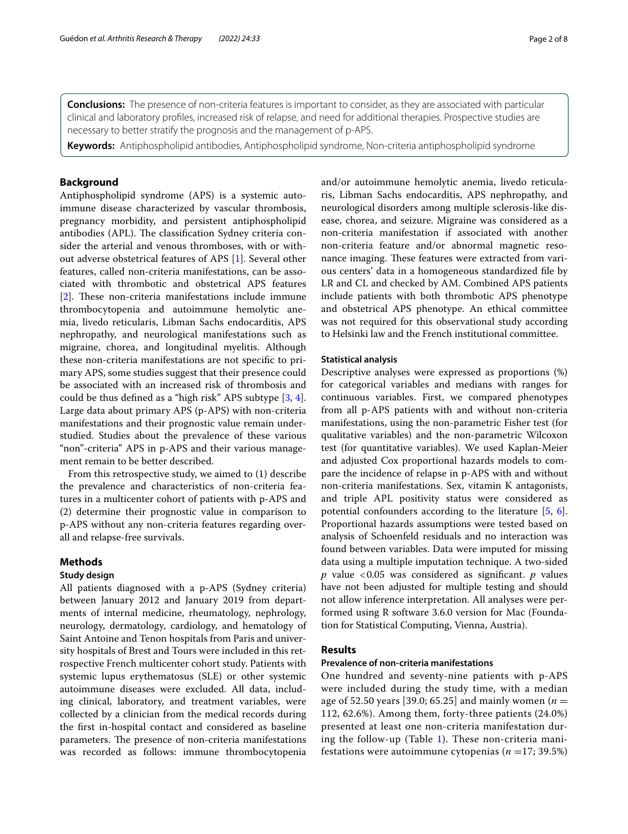**Conclusions:** The presence of non-criteria features is important to consider, as they are associated with particular clinical and laboratory profles, increased risk of relapse, and need for additional therapies. Prospective studies are necessary to better stratify the prognosis and the management of p-APS.

**Keywords:** Antiphospholipid antibodies, Antiphospholipid syndrome, Non-criteria antiphospholipid syndrome

# **Background**

Antiphospholipid syndrome (APS) is a systemic autoimmune disease characterized by vascular thrombosis, pregnancy morbidity, and persistent antiphospholipid antibodies (APL). The classification Sydney criteria consider the arterial and venous thromboses, with or without adverse obstetrical features of APS [1]. Several other features, called non-criteria manifestations, can be associated with thrombotic and obstetrical APS features  $[2]$ . These non-criteria manifestations include immune thrombocytopenia and autoimmune hemolytic anemia, livedo reticularis, Libman Sachs endocarditis, APS nephropathy, and neurological manifestations such as migraine, chorea, and longitudinal myelitis. Although these non-criteria manifestations are not specifc to primary APS, some studies suggest that their presence could be associated with an increased risk of thrombosis and could be thus defned as a "high risk" APS subtype [3, 4]. Large data about primary APS (p-APS) with non-criteria manifestations and their prognostic value remain understudied. Studies about the prevalence of these various "non"-criteria" APS in p-APS and their various management remain to be better described.

From this retrospective study, we aimed to (1) describe the prevalence and characteristics of non-criteria features in a multicenter cohort of patients with p-APS and (2) determine their prognostic value in comparison to p-APS without any non-criteria features regarding overall and relapse-free survivals.

# **Methods**

# **Study design**

All patients diagnosed with a p-APS (Sydney criteria) between January 2012 and January 2019 from departments of internal medicine, rheumatology, nephrology, neurology, dermatology, cardiology, and hematology of Saint Antoine and Tenon hospitals from Paris and university hospitals of Brest and Tours were included in this retrospective French multicenter cohort study. Patients with systemic lupus erythematosus (SLE) or other systemic autoimmune diseases were excluded. All data, including clinical, laboratory, and treatment variables, were collected by a clinician from the medical records during the frst in-hospital contact and considered as baseline parameters. The presence of non-criteria manifestations was recorded as follows: immune thrombocytopenia and/or autoimmune hemolytic anemia, livedo reticularis, Libman Sachs endocarditis, APS nephropathy, and neurological disorders among multiple sclerosis-like disease, chorea, and seizure. Migraine was considered as a non-criteria manifestation if associated with another non-criteria feature and/or abnormal magnetic resonance imaging. These features were extracted from various centers' data in a homogeneous standardized fle by LR and CL and checked by AM. Combined APS patients include patients with both thrombotic APS phenotype and obstetrical APS phenotype. An ethical committee was not required for this observational study according to Helsinki law and the French institutional committee.

# **Statistical analysis**

Descriptive analyses were expressed as proportions (%) for categorical variables and medians with ranges for continuous variables. First, we compared phenotypes from all p-APS patients with and without non-criteria manifestations, using the non-parametric Fisher test (for qualitative variables) and the non-parametric Wilcoxon test (for quantitative variables). We used Kaplan-Meier and adjusted Cox proportional hazards models to compare the incidence of relapse in p-APS with and without non-criteria manifestations. Sex, vitamin K antagonists, and triple APL positivity status were considered as potential confounders according to the literature [5, 6]. Proportional hazards assumptions were tested based on analysis of Schoenfeld residuals and no interaction was found between variables. Data were imputed for missing data using a multiple imputation technique. A two-sided *p* value <0.05 was considered as signifcant. *p* values have not been adjusted for multiple testing and should not allow inference interpretation. All analyses were performed using R software 3.6.0 version for Mac (Foundation for Statistical Computing, Vienna, Austria).

# **Results**

# **Prevalence of non‑criteria manifestations**

One hundred and seventy-nine patients with p-APS were included during the study time, with a median age of 52.50 years [39.0; 65.25] and mainly women (*n* = 112, 62.6%). Among them, forty-three patients (24.0%) presented at least one non-criteria manifestation during the follow-up (Table 1). These non-criteria manifestations were autoimmune cytopenias ( $n = 17$ ; 39.5%)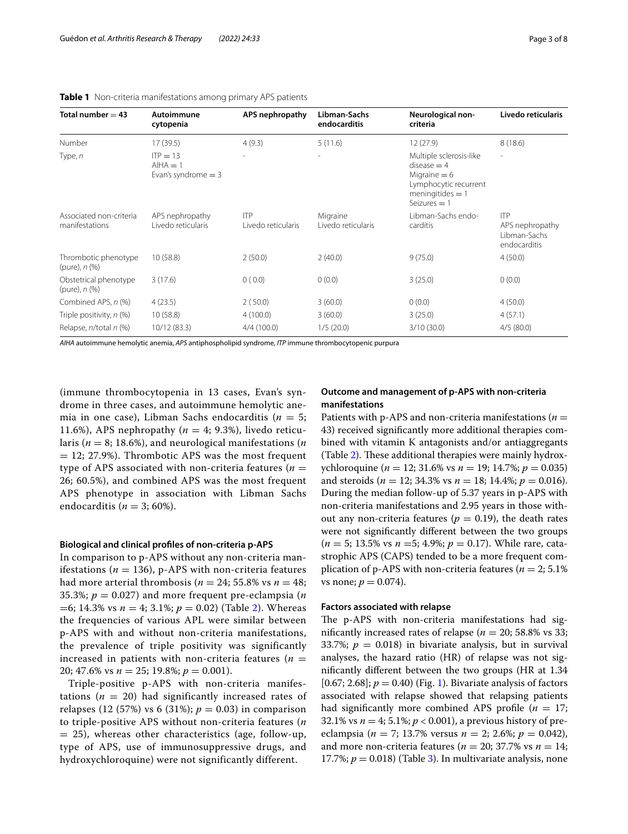| Total number $=$ 43                            | Autoimmune<br>cytopenia                          | APS nephropathy                  | Libman-Sachs<br>endocarditis   | Neurological non-<br>criteria                                                                                              | Livedo reticularis                                            |
|------------------------------------------------|--------------------------------------------------|----------------------------------|--------------------------------|----------------------------------------------------------------------------------------------------------------------------|---------------------------------------------------------------|
| Number                                         | 17 (39.5)                                        | 4(9.3)                           | 5(11.6)                        | 12(27.9)                                                                                                                   | 8(18.6)                                                       |
| Type, $n$                                      | $IP = 13$<br>$AIHA = 1$<br>Evan's syndrome $=$ 3 | ۰                                | $\overline{\phantom{a}}$       | Multiple sclerosis-like<br>$disease = 4$<br>Migraine $= 6$<br>Lymphocytic recurrent<br>$meningtides = 1$<br>Seizures $=$ 1 | ٠                                                             |
| Associated non-criteria<br>manifestations      | APS nephropathy<br>Livedo reticularis            | <b>ITP</b><br>Livedo reticularis | Migraine<br>Livedo reticularis | Libman-Sachs endo-<br>carditis                                                                                             | <b>ITP</b><br>APS nephropathy<br>Libman-Sachs<br>endocarditis |
| Thrombotic phenotype<br>$(pure)$ , $n$ $(\%)$  | 10(58.8)                                         | 2(50.0)                          | 2(40.0)                        | 9(75.0)                                                                                                                    | 4(50.0)                                                       |
| Obstetrical phenotype<br>$(pure)$ , $n$ $(\%)$ | 3(17.6)                                          | 0(0.0)                           | 0(0.0)                         | 3(25.0)                                                                                                                    | 0(0.0)                                                        |
| Combined APS, n (%)                            | 4(23.5)                                          | 2(50.0)                          | 3(60.0)                        | 0(0.0)                                                                                                                     | 4(50.0)                                                       |
| Triple positivity, n (%)                       | 10(58.8)                                         | 4(100.0)                         | 3(60.0)                        | 3(25.0)                                                                                                                    | 4(57.1)                                                       |
| Relapse, n/total n (%)                         | 10/12 (83.3)                                     | 4/4(100.0)                       | 1/5(20.0)                      | 3/10 (30.0)                                                                                                                | 4/5(80.0)                                                     |

## **Table 1** Non-criteria manifestations among primary APS patients

*AIHA* autoimmune hemolytic anemia, *APS* antiphospholipid syndrome, *ITP* immune thrombocytopenic purpura

(immune thrombocytopenia in 13 cases, Evan's syndrome in three cases, and autoimmune hemolytic anemia in one case), Libman Sachs endocarditis (*n* = 5; 11.6%), APS nephropathy  $(n = 4; 9.3%)$ , livedo reticularis (*n* = 8; 18.6%), and neurological manifestations (*n*  $= 12$ ; 27.9%). Thrombotic APS was the most frequent type of APS associated with non-criteria features ( $n =$ 26; 60.5%), and combined APS was the most frequent APS phenotype in association with Libman Sachs endocarditis ( $n = 3$ ; 60%).

## **Biological and clinical profles of non‑criteria p‑APS**

In comparison to p-APS without any non-criteria manifestations ( $n = 136$ ), p-APS with non-criteria features had more arterial thrombosis ( $n = 24$ ; 55.8% vs  $n = 48$ ; 35.3%;  $p = 0.027$ ) and more frequent pre-eclampsia (*n*) =6; 14.3% vs *n* = 4; 3.1%; *p* = 0.02) (Table 2). Whereas the frequencies of various APL were similar between p-APS with and without non-criteria manifestations, the prevalence of triple positivity was significantly increased in patients with non-criteria features  $(n =$ 20; 47.6% vs *n* = 25; 19.8%; *p* = 0.001).

Triple-positive p-APS with non-criteria manifestations  $(n = 20)$  had significantly increased rates of relapses (12 (57%) vs 6 (31%);  $p = 0.03$ ) in comparison to triple-positive APS without non-criteria features (*n*  $=$  25), whereas other characteristics (age, follow-up, type of APS, use of immunosuppressive drugs, and hydroxychloroquine) were not significantly different.

# **Outcome and management of p‑APS with non‑criteria manifestations**

Patients with p-APS and non-criteria manifestations ( $n =$ 43) received signifcantly more additional therapies combined with vitamin K antagonists and/or antiaggregants (Table 2). These additional therapies were mainly hydroxychloroquine (*n* = 12; 31.6% vs *n* = 19; 14.7%; *p* = 0.035) and steroids (*n* = 12; 34.3% vs *n* = 18; 14.4%; *p* = 0.016). During the median follow-up of 5.37 years in p-APS with non-criteria manifestations and 2.95 years in those without any non-criteria features ( $p = 0.19$ ), the death rates were not signifcantly diferent between the two groups (*n* = 5; 13.5% vs *n* =5; 4.9%; *p* = 0.17). While rare, catastrophic APS (CAPS) tended to be a more frequent complication of p-APS with non-criteria features ( $n = 2$ ; 5.1%) vs none;  $p = 0.074$ ).

## **Factors associated with relapse**

The p-APS with non-criteria manifestations had significantly increased rates of relapse ( $n = 20$ ; 58.8% vs 33; 33.7%;  $p = 0.018$ ) in bivariate analysis, but in survival analyses, the hazard ratio (HR) of relapse was not signifcantly diferent between the two groups (HR at 1.34 [0.67; 2.68];  $p = 0.40$  (Fig. 1). Bivariate analysis of factors associated with relapse showed that relapsing patients had significantly more combined APS profile  $(n = 17)$ ; 32.1% vs  $n = 4$ ; 5.1%;  $p < 0.001$ ), a previous history of preeclampsia (*n* = 7; 13.7% versus *n* = 2; 2.6%; *p* = 0.042), and more non-criteria features ( $n = 20$ ; 37.7% vs  $n = 14$ ; 17.7%;  $p = 0.018$ ) (Table 3). In multivariate analysis, none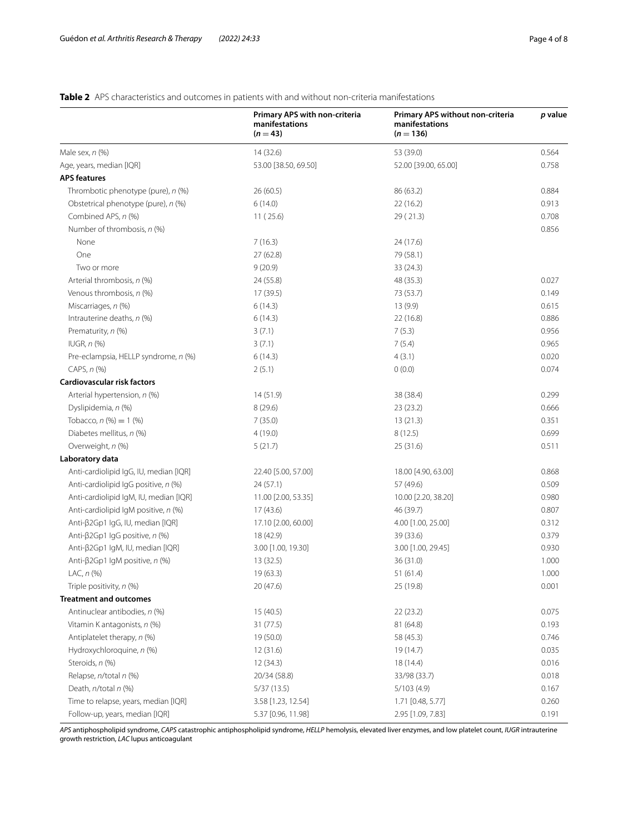# **Table 2** APS characteristics and outcomes in patients with and without non-criteria manifestations

| 0.564<br>Male sex, $n$ (%)<br>14 (32.6)<br>53 (39.0)<br>0.758<br>Age, years, median [IQR]<br>53.00 [38.50, 69.50]<br>52.00 [39.00, 65.00]<br><b>APS features</b><br>26(60.5)<br>Thrombotic phenotype (pure), n (%)<br>86 (63.2)<br>0.884<br>0.913<br>Obstetrical phenotype (pure), n (%)<br>6(14.0)<br>22(16.2)<br>Combined APS, n (%)<br>0.708<br>11(25.6)<br>29(21.3)<br>Number of thrombosis, n (%)<br>0.856<br>7(16.3)<br>None<br>24 (17.6)<br>One<br>27(62.8)<br>79 (58.1)<br>Two or more<br>9(20.9)<br>33(24.3)<br>0.027<br>Arterial thrombosis, n (%)<br>24 (55.8)<br>48 (35.3)<br>Venous thrombosis, n (%)<br>17 (39.5)<br>73 (53.7)<br>0.149<br>Miscarriages, n (%)<br>6(14.3)<br>13(9.9)<br>0.615<br>Intrauterine deaths, n (%)<br>6(14.3)<br>22 (16.8)<br>0.886<br>Prematurity, n (%)<br>3(7.1)<br>7(5.3)<br>0.956<br>$IUGR, n$ (%)<br>3(7.1)<br>7(5.4)<br>0.965<br>Pre-eclampsia, HELLP syndrome, n (%)<br>6(14.3)<br>4(3.1)<br>0.020<br>CAPS, $n$ $%$<br>0.074<br>2(5.1)<br>0(0.0)<br>Cardiovascular risk factors<br>Arterial hypertension, n (%)<br>14 (51.9)<br>38 (38.4)<br>0.299<br>Dyslipidemia, n (%)<br>8(29.6)<br>23 (23.2)<br>0.666<br>Tobacco, $n$ (%) = 1 (%)<br>7(35.0)<br>13(21.3)<br>0.351<br>Diabetes mellitus, n (%)<br>4(19.0)<br>8(12.5)<br>0.699<br>Overweight, n (%)<br>5(21.7)<br>25(31.6)<br>0.511<br>Laboratory data<br>Anti-cardiolipid IgG, IU, median [IQR]<br>22.40 [5.00, 57.00]<br>18.00 [4.90, 63.00]<br>0.868<br>Anti-cardiolipid IqG positive, n (%)<br>24 (57.1)<br>0.509<br>57 (49.6)<br>Anti-cardiolipid IgM, IU, median [IQR]<br>11.00 [2.00, 53.35]<br>10.00 [2.20, 38.20]<br>0.980<br>Anti-cardiolipid IgM positive, n (%)<br>17(43.6)<br>46 (39.7)<br>0.807<br>Anti-β2Gp1 lgG, IU, median [IQR]<br>17.10 [2.00, 60.00]<br>4.00 [1.00, 25.00]<br>0.312<br>Anti- $\beta$ 2Gp1 IgG positive, n (%)<br>18 (42.9)<br>39 (33.6)<br>0.379<br>Anti-β2Gp1 IgM, IU, median [IQR]<br>3.00 [1.00, 19.30]<br>3.00 [1.00, 29.45]<br>0.930<br>Anti-β2Gp1 IgM positive, n (%)<br>13 (32.5)<br>36 (31.0)<br>1.000<br>LAC, n (%)<br>19 (63.3)<br>51(61.4)<br>1.000<br>Triple positivity, n (%)<br>20 (47.6)<br>25 (19.8)<br>0.001<br><b>Treatment and outcomes</b><br>Antinuclear antibodies, n (%)<br>0.075<br>15 (40.5)<br>22(23.2)<br>0.193<br>Vitamin K antagonists, n (%)<br>31(77.5)<br>81 (64.8)<br>Antiplatelet therapy, n (%)<br>0.746<br>19 (50.0)<br>58 (45.3)<br>Hydroxychloroquine, n (%)<br>0.035<br>12(31.6)<br>19 (14.7)<br>Steroids, n (%)<br>0.016<br>12 (34.3)<br>18 (14.4)<br>Relapse, n/total n (%)<br>0.018<br>20/34 (58.8)<br>33/98 (33.7)<br>Death, n/total n (%)<br>5/37(13.5)<br>5/103(4.9)<br>0.167<br>Time to relapse, years, median [IQR]<br>3.58 [1.23, 12.54]<br>1.71 [0.48, 5.77]<br>0.260<br>Follow-up, years, median [IQR]<br>0.191<br>5.37 [0.96, 11.98]<br>2.95 [1.09, 7.83] | Primary APS with non-criteria<br>manifestations<br>$(n = 43)$ | Primary APS without non-criteria<br>manifestations<br>$(n = 136)$ | p value |
|----------------------------------------------------------------------------------------------------------------------------------------------------------------------------------------------------------------------------------------------------------------------------------------------------------------------------------------------------------------------------------------------------------------------------------------------------------------------------------------------------------------------------------------------------------------------------------------------------------------------------------------------------------------------------------------------------------------------------------------------------------------------------------------------------------------------------------------------------------------------------------------------------------------------------------------------------------------------------------------------------------------------------------------------------------------------------------------------------------------------------------------------------------------------------------------------------------------------------------------------------------------------------------------------------------------------------------------------------------------------------------------------------------------------------------------------------------------------------------------------------------------------------------------------------------------------------------------------------------------------------------------------------------------------------------------------------------------------------------------------------------------------------------------------------------------------------------------------------------------------------------------------------------------------------------------------------------------------------------------------------------------------------------------------------------------------------------------------------------------------------------------------------------------------------------------------------------------------------------------------------------------------------------------------------------------------------------------------------------------------------------------------------------------------------------------------------------------------------------------------------------------------------------------------------------------------------------------------------------------------------------------------------------------------------------------------------------------------------------------------------------------------------------------------------------------------------------------------------|---------------------------------------------------------------|-------------------------------------------------------------------|---------|
|                                                                                                                                                                                                                                                                                                                                                                                                                                                                                                                                                                                                                                                                                                                                                                                                                                                                                                                                                                                                                                                                                                                                                                                                                                                                                                                                                                                                                                                                                                                                                                                                                                                                                                                                                                                                                                                                                                                                                                                                                                                                                                                                                                                                                                                                                                                                                                                                                                                                                                                                                                                                                                                                                                                                                                                                                                                    |                                                               |                                                                   |         |
|                                                                                                                                                                                                                                                                                                                                                                                                                                                                                                                                                                                                                                                                                                                                                                                                                                                                                                                                                                                                                                                                                                                                                                                                                                                                                                                                                                                                                                                                                                                                                                                                                                                                                                                                                                                                                                                                                                                                                                                                                                                                                                                                                                                                                                                                                                                                                                                                                                                                                                                                                                                                                                                                                                                                                                                                                                                    |                                                               |                                                                   |         |
|                                                                                                                                                                                                                                                                                                                                                                                                                                                                                                                                                                                                                                                                                                                                                                                                                                                                                                                                                                                                                                                                                                                                                                                                                                                                                                                                                                                                                                                                                                                                                                                                                                                                                                                                                                                                                                                                                                                                                                                                                                                                                                                                                                                                                                                                                                                                                                                                                                                                                                                                                                                                                                                                                                                                                                                                                                                    |                                                               |                                                                   |         |
|                                                                                                                                                                                                                                                                                                                                                                                                                                                                                                                                                                                                                                                                                                                                                                                                                                                                                                                                                                                                                                                                                                                                                                                                                                                                                                                                                                                                                                                                                                                                                                                                                                                                                                                                                                                                                                                                                                                                                                                                                                                                                                                                                                                                                                                                                                                                                                                                                                                                                                                                                                                                                                                                                                                                                                                                                                                    |                                                               |                                                                   |         |
|                                                                                                                                                                                                                                                                                                                                                                                                                                                                                                                                                                                                                                                                                                                                                                                                                                                                                                                                                                                                                                                                                                                                                                                                                                                                                                                                                                                                                                                                                                                                                                                                                                                                                                                                                                                                                                                                                                                                                                                                                                                                                                                                                                                                                                                                                                                                                                                                                                                                                                                                                                                                                                                                                                                                                                                                                                                    |                                                               |                                                                   |         |
|                                                                                                                                                                                                                                                                                                                                                                                                                                                                                                                                                                                                                                                                                                                                                                                                                                                                                                                                                                                                                                                                                                                                                                                                                                                                                                                                                                                                                                                                                                                                                                                                                                                                                                                                                                                                                                                                                                                                                                                                                                                                                                                                                                                                                                                                                                                                                                                                                                                                                                                                                                                                                                                                                                                                                                                                                                                    |                                                               |                                                                   |         |
|                                                                                                                                                                                                                                                                                                                                                                                                                                                                                                                                                                                                                                                                                                                                                                                                                                                                                                                                                                                                                                                                                                                                                                                                                                                                                                                                                                                                                                                                                                                                                                                                                                                                                                                                                                                                                                                                                                                                                                                                                                                                                                                                                                                                                                                                                                                                                                                                                                                                                                                                                                                                                                                                                                                                                                                                                                                    |                                                               |                                                                   |         |
|                                                                                                                                                                                                                                                                                                                                                                                                                                                                                                                                                                                                                                                                                                                                                                                                                                                                                                                                                                                                                                                                                                                                                                                                                                                                                                                                                                                                                                                                                                                                                                                                                                                                                                                                                                                                                                                                                                                                                                                                                                                                                                                                                                                                                                                                                                                                                                                                                                                                                                                                                                                                                                                                                                                                                                                                                                                    |                                                               |                                                                   |         |
|                                                                                                                                                                                                                                                                                                                                                                                                                                                                                                                                                                                                                                                                                                                                                                                                                                                                                                                                                                                                                                                                                                                                                                                                                                                                                                                                                                                                                                                                                                                                                                                                                                                                                                                                                                                                                                                                                                                                                                                                                                                                                                                                                                                                                                                                                                                                                                                                                                                                                                                                                                                                                                                                                                                                                                                                                                                    |                                                               |                                                                   |         |
|                                                                                                                                                                                                                                                                                                                                                                                                                                                                                                                                                                                                                                                                                                                                                                                                                                                                                                                                                                                                                                                                                                                                                                                                                                                                                                                                                                                                                                                                                                                                                                                                                                                                                                                                                                                                                                                                                                                                                                                                                                                                                                                                                                                                                                                                                                                                                                                                                                                                                                                                                                                                                                                                                                                                                                                                                                                    |                                                               |                                                                   |         |
|                                                                                                                                                                                                                                                                                                                                                                                                                                                                                                                                                                                                                                                                                                                                                                                                                                                                                                                                                                                                                                                                                                                                                                                                                                                                                                                                                                                                                                                                                                                                                                                                                                                                                                                                                                                                                                                                                                                                                                                                                                                                                                                                                                                                                                                                                                                                                                                                                                                                                                                                                                                                                                                                                                                                                                                                                                                    |                                                               |                                                                   |         |
|                                                                                                                                                                                                                                                                                                                                                                                                                                                                                                                                                                                                                                                                                                                                                                                                                                                                                                                                                                                                                                                                                                                                                                                                                                                                                                                                                                                                                                                                                                                                                                                                                                                                                                                                                                                                                                                                                                                                                                                                                                                                                                                                                                                                                                                                                                                                                                                                                                                                                                                                                                                                                                                                                                                                                                                                                                                    |                                                               |                                                                   |         |
|                                                                                                                                                                                                                                                                                                                                                                                                                                                                                                                                                                                                                                                                                                                                                                                                                                                                                                                                                                                                                                                                                                                                                                                                                                                                                                                                                                                                                                                                                                                                                                                                                                                                                                                                                                                                                                                                                                                                                                                                                                                                                                                                                                                                                                                                                                                                                                                                                                                                                                                                                                                                                                                                                                                                                                                                                                                    |                                                               |                                                                   |         |
|                                                                                                                                                                                                                                                                                                                                                                                                                                                                                                                                                                                                                                                                                                                                                                                                                                                                                                                                                                                                                                                                                                                                                                                                                                                                                                                                                                                                                                                                                                                                                                                                                                                                                                                                                                                                                                                                                                                                                                                                                                                                                                                                                                                                                                                                                                                                                                                                                                                                                                                                                                                                                                                                                                                                                                                                                                                    |                                                               |                                                                   |         |
|                                                                                                                                                                                                                                                                                                                                                                                                                                                                                                                                                                                                                                                                                                                                                                                                                                                                                                                                                                                                                                                                                                                                                                                                                                                                                                                                                                                                                                                                                                                                                                                                                                                                                                                                                                                                                                                                                                                                                                                                                                                                                                                                                                                                                                                                                                                                                                                                                                                                                                                                                                                                                                                                                                                                                                                                                                                    |                                                               |                                                                   |         |
|                                                                                                                                                                                                                                                                                                                                                                                                                                                                                                                                                                                                                                                                                                                                                                                                                                                                                                                                                                                                                                                                                                                                                                                                                                                                                                                                                                                                                                                                                                                                                                                                                                                                                                                                                                                                                                                                                                                                                                                                                                                                                                                                                                                                                                                                                                                                                                                                                                                                                                                                                                                                                                                                                                                                                                                                                                                    |                                                               |                                                                   |         |
|                                                                                                                                                                                                                                                                                                                                                                                                                                                                                                                                                                                                                                                                                                                                                                                                                                                                                                                                                                                                                                                                                                                                                                                                                                                                                                                                                                                                                                                                                                                                                                                                                                                                                                                                                                                                                                                                                                                                                                                                                                                                                                                                                                                                                                                                                                                                                                                                                                                                                                                                                                                                                                                                                                                                                                                                                                                    |                                                               |                                                                   |         |
|                                                                                                                                                                                                                                                                                                                                                                                                                                                                                                                                                                                                                                                                                                                                                                                                                                                                                                                                                                                                                                                                                                                                                                                                                                                                                                                                                                                                                                                                                                                                                                                                                                                                                                                                                                                                                                                                                                                                                                                                                                                                                                                                                                                                                                                                                                                                                                                                                                                                                                                                                                                                                                                                                                                                                                                                                                                    |                                                               |                                                                   |         |
|                                                                                                                                                                                                                                                                                                                                                                                                                                                                                                                                                                                                                                                                                                                                                                                                                                                                                                                                                                                                                                                                                                                                                                                                                                                                                                                                                                                                                                                                                                                                                                                                                                                                                                                                                                                                                                                                                                                                                                                                                                                                                                                                                                                                                                                                                                                                                                                                                                                                                                                                                                                                                                                                                                                                                                                                                                                    |                                                               |                                                                   |         |
|                                                                                                                                                                                                                                                                                                                                                                                                                                                                                                                                                                                                                                                                                                                                                                                                                                                                                                                                                                                                                                                                                                                                                                                                                                                                                                                                                                                                                                                                                                                                                                                                                                                                                                                                                                                                                                                                                                                                                                                                                                                                                                                                                                                                                                                                                                                                                                                                                                                                                                                                                                                                                                                                                                                                                                                                                                                    |                                                               |                                                                   |         |
|                                                                                                                                                                                                                                                                                                                                                                                                                                                                                                                                                                                                                                                                                                                                                                                                                                                                                                                                                                                                                                                                                                                                                                                                                                                                                                                                                                                                                                                                                                                                                                                                                                                                                                                                                                                                                                                                                                                                                                                                                                                                                                                                                                                                                                                                                                                                                                                                                                                                                                                                                                                                                                                                                                                                                                                                                                                    |                                                               |                                                                   |         |
|                                                                                                                                                                                                                                                                                                                                                                                                                                                                                                                                                                                                                                                                                                                                                                                                                                                                                                                                                                                                                                                                                                                                                                                                                                                                                                                                                                                                                                                                                                                                                                                                                                                                                                                                                                                                                                                                                                                                                                                                                                                                                                                                                                                                                                                                                                                                                                                                                                                                                                                                                                                                                                                                                                                                                                                                                                                    |                                                               |                                                                   |         |
|                                                                                                                                                                                                                                                                                                                                                                                                                                                                                                                                                                                                                                                                                                                                                                                                                                                                                                                                                                                                                                                                                                                                                                                                                                                                                                                                                                                                                                                                                                                                                                                                                                                                                                                                                                                                                                                                                                                                                                                                                                                                                                                                                                                                                                                                                                                                                                                                                                                                                                                                                                                                                                                                                                                                                                                                                                                    |                                                               |                                                                   |         |
|                                                                                                                                                                                                                                                                                                                                                                                                                                                                                                                                                                                                                                                                                                                                                                                                                                                                                                                                                                                                                                                                                                                                                                                                                                                                                                                                                                                                                                                                                                                                                                                                                                                                                                                                                                                                                                                                                                                                                                                                                                                                                                                                                                                                                                                                                                                                                                                                                                                                                                                                                                                                                                                                                                                                                                                                                                                    |                                                               |                                                                   |         |
|                                                                                                                                                                                                                                                                                                                                                                                                                                                                                                                                                                                                                                                                                                                                                                                                                                                                                                                                                                                                                                                                                                                                                                                                                                                                                                                                                                                                                                                                                                                                                                                                                                                                                                                                                                                                                                                                                                                                                                                                                                                                                                                                                                                                                                                                                                                                                                                                                                                                                                                                                                                                                                                                                                                                                                                                                                                    |                                                               |                                                                   |         |
|                                                                                                                                                                                                                                                                                                                                                                                                                                                                                                                                                                                                                                                                                                                                                                                                                                                                                                                                                                                                                                                                                                                                                                                                                                                                                                                                                                                                                                                                                                                                                                                                                                                                                                                                                                                                                                                                                                                                                                                                                                                                                                                                                                                                                                                                                                                                                                                                                                                                                                                                                                                                                                                                                                                                                                                                                                                    |                                                               |                                                                   |         |
|                                                                                                                                                                                                                                                                                                                                                                                                                                                                                                                                                                                                                                                                                                                                                                                                                                                                                                                                                                                                                                                                                                                                                                                                                                                                                                                                                                                                                                                                                                                                                                                                                                                                                                                                                                                                                                                                                                                                                                                                                                                                                                                                                                                                                                                                                                                                                                                                                                                                                                                                                                                                                                                                                                                                                                                                                                                    |                                                               |                                                                   |         |
|                                                                                                                                                                                                                                                                                                                                                                                                                                                                                                                                                                                                                                                                                                                                                                                                                                                                                                                                                                                                                                                                                                                                                                                                                                                                                                                                                                                                                                                                                                                                                                                                                                                                                                                                                                                                                                                                                                                                                                                                                                                                                                                                                                                                                                                                                                                                                                                                                                                                                                                                                                                                                                                                                                                                                                                                                                                    |                                                               |                                                                   |         |
|                                                                                                                                                                                                                                                                                                                                                                                                                                                                                                                                                                                                                                                                                                                                                                                                                                                                                                                                                                                                                                                                                                                                                                                                                                                                                                                                                                                                                                                                                                                                                                                                                                                                                                                                                                                                                                                                                                                                                                                                                                                                                                                                                                                                                                                                                                                                                                                                                                                                                                                                                                                                                                                                                                                                                                                                                                                    |                                                               |                                                                   |         |
|                                                                                                                                                                                                                                                                                                                                                                                                                                                                                                                                                                                                                                                                                                                                                                                                                                                                                                                                                                                                                                                                                                                                                                                                                                                                                                                                                                                                                                                                                                                                                                                                                                                                                                                                                                                                                                                                                                                                                                                                                                                                                                                                                                                                                                                                                                                                                                                                                                                                                                                                                                                                                                                                                                                                                                                                                                                    |                                                               |                                                                   |         |
|                                                                                                                                                                                                                                                                                                                                                                                                                                                                                                                                                                                                                                                                                                                                                                                                                                                                                                                                                                                                                                                                                                                                                                                                                                                                                                                                                                                                                                                                                                                                                                                                                                                                                                                                                                                                                                                                                                                                                                                                                                                                                                                                                                                                                                                                                                                                                                                                                                                                                                                                                                                                                                                                                                                                                                                                                                                    |                                                               |                                                                   |         |
|                                                                                                                                                                                                                                                                                                                                                                                                                                                                                                                                                                                                                                                                                                                                                                                                                                                                                                                                                                                                                                                                                                                                                                                                                                                                                                                                                                                                                                                                                                                                                                                                                                                                                                                                                                                                                                                                                                                                                                                                                                                                                                                                                                                                                                                                                                                                                                                                                                                                                                                                                                                                                                                                                                                                                                                                                                                    |                                                               |                                                                   |         |
|                                                                                                                                                                                                                                                                                                                                                                                                                                                                                                                                                                                                                                                                                                                                                                                                                                                                                                                                                                                                                                                                                                                                                                                                                                                                                                                                                                                                                                                                                                                                                                                                                                                                                                                                                                                                                                                                                                                                                                                                                                                                                                                                                                                                                                                                                                                                                                                                                                                                                                                                                                                                                                                                                                                                                                                                                                                    |                                                               |                                                                   |         |
|                                                                                                                                                                                                                                                                                                                                                                                                                                                                                                                                                                                                                                                                                                                                                                                                                                                                                                                                                                                                                                                                                                                                                                                                                                                                                                                                                                                                                                                                                                                                                                                                                                                                                                                                                                                                                                                                                                                                                                                                                                                                                                                                                                                                                                                                                                                                                                                                                                                                                                                                                                                                                                                                                                                                                                                                                                                    |                                                               |                                                                   |         |
|                                                                                                                                                                                                                                                                                                                                                                                                                                                                                                                                                                                                                                                                                                                                                                                                                                                                                                                                                                                                                                                                                                                                                                                                                                                                                                                                                                                                                                                                                                                                                                                                                                                                                                                                                                                                                                                                                                                                                                                                                                                                                                                                                                                                                                                                                                                                                                                                                                                                                                                                                                                                                                                                                                                                                                                                                                                    |                                                               |                                                                   |         |
|                                                                                                                                                                                                                                                                                                                                                                                                                                                                                                                                                                                                                                                                                                                                                                                                                                                                                                                                                                                                                                                                                                                                                                                                                                                                                                                                                                                                                                                                                                                                                                                                                                                                                                                                                                                                                                                                                                                                                                                                                                                                                                                                                                                                                                                                                                                                                                                                                                                                                                                                                                                                                                                                                                                                                                                                                                                    |                                                               |                                                                   |         |
|                                                                                                                                                                                                                                                                                                                                                                                                                                                                                                                                                                                                                                                                                                                                                                                                                                                                                                                                                                                                                                                                                                                                                                                                                                                                                                                                                                                                                                                                                                                                                                                                                                                                                                                                                                                                                                                                                                                                                                                                                                                                                                                                                                                                                                                                                                                                                                                                                                                                                                                                                                                                                                                                                                                                                                                                                                                    |                                                               |                                                                   |         |
|                                                                                                                                                                                                                                                                                                                                                                                                                                                                                                                                                                                                                                                                                                                                                                                                                                                                                                                                                                                                                                                                                                                                                                                                                                                                                                                                                                                                                                                                                                                                                                                                                                                                                                                                                                                                                                                                                                                                                                                                                                                                                                                                                                                                                                                                                                                                                                                                                                                                                                                                                                                                                                                                                                                                                                                                                                                    |                                                               |                                                                   |         |
|                                                                                                                                                                                                                                                                                                                                                                                                                                                                                                                                                                                                                                                                                                                                                                                                                                                                                                                                                                                                                                                                                                                                                                                                                                                                                                                                                                                                                                                                                                                                                                                                                                                                                                                                                                                                                                                                                                                                                                                                                                                                                                                                                                                                                                                                                                                                                                                                                                                                                                                                                                                                                                                                                                                                                                                                                                                    |                                                               |                                                                   |         |
|                                                                                                                                                                                                                                                                                                                                                                                                                                                                                                                                                                                                                                                                                                                                                                                                                                                                                                                                                                                                                                                                                                                                                                                                                                                                                                                                                                                                                                                                                                                                                                                                                                                                                                                                                                                                                                                                                                                                                                                                                                                                                                                                                                                                                                                                                                                                                                                                                                                                                                                                                                                                                                                                                                                                                                                                                                                    |                                                               |                                                                   |         |
|                                                                                                                                                                                                                                                                                                                                                                                                                                                                                                                                                                                                                                                                                                                                                                                                                                                                                                                                                                                                                                                                                                                                                                                                                                                                                                                                                                                                                                                                                                                                                                                                                                                                                                                                                                                                                                                                                                                                                                                                                                                                                                                                                                                                                                                                                                                                                                                                                                                                                                                                                                                                                                                                                                                                                                                                                                                    |                                                               |                                                                   |         |
|                                                                                                                                                                                                                                                                                                                                                                                                                                                                                                                                                                                                                                                                                                                                                                                                                                                                                                                                                                                                                                                                                                                                                                                                                                                                                                                                                                                                                                                                                                                                                                                                                                                                                                                                                                                                                                                                                                                                                                                                                                                                                                                                                                                                                                                                                                                                                                                                                                                                                                                                                                                                                                                                                                                                                                                                                                                    |                                                               |                                                                   |         |
|                                                                                                                                                                                                                                                                                                                                                                                                                                                                                                                                                                                                                                                                                                                                                                                                                                                                                                                                                                                                                                                                                                                                                                                                                                                                                                                                                                                                                                                                                                                                                                                                                                                                                                                                                                                                                                                                                                                                                                                                                                                                                                                                                                                                                                                                                                                                                                                                                                                                                                                                                                                                                                                                                                                                                                                                                                                    |                                                               |                                                                   |         |
|                                                                                                                                                                                                                                                                                                                                                                                                                                                                                                                                                                                                                                                                                                                                                                                                                                                                                                                                                                                                                                                                                                                                                                                                                                                                                                                                                                                                                                                                                                                                                                                                                                                                                                                                                                                                                                                                                                                                                                                                                                                                                                                                                                                                                                                                                                                                                                                                                                                                                                                                                                                                                                                                                                                                                                                                                                                    |                                                               |                                                                   |         |
|                                                                                                                                                                                                                                                                                                                                                                                                                                                                                                                                                                                                                                                                                                                                                                                                                                                                                                                                                                                                                                                                                                                                                                                                                                                                                                                                                                                                                                                                                                                                                                                                                                                                                                                                                                                                                                                                                                                                                                                                                                                                                                                                                                                                                                                                                                                                                                                                                                                                                                                                                                                                                                                                                                                                                                                                                                                    |                                                               |                                                                   |         |

*APS* antiphospholipid syndrome, *CAPS* catastrophic antiphospholipid syndrome, *HELLP* hemolysis, elevated liver enzymes, and low platelet count, *IUGR* intrauterine growth restriction, *LAC* lupus anticoagulant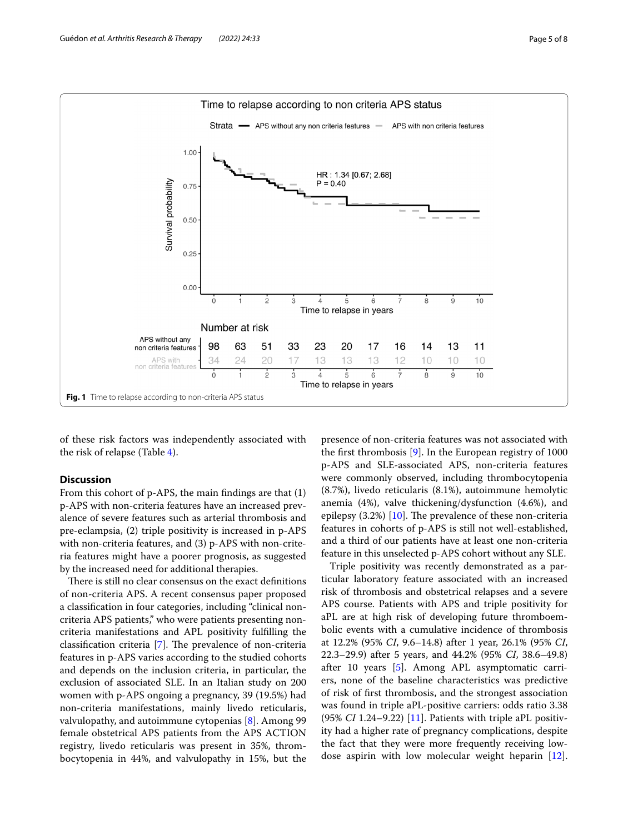

of these risk factors was independently associated with the risk of relapse (Table 4).

# **Discussion**

From this cohort of p-APS, the main fndings are that (1) p-APS with non-criteria features have an increased prevalence of severe features such as arterial thrombosis and pre-eclampsia, (2) triple positivity is increased in p-APS with non-criteria features, and (3) p-APS with non-criteria features might have a poorer prognosis, as suggested by the increased need for additional therapies.

There is still no clear consensus on the exact definitions of non-criteria APS. A recent consensus paper proposed a classifcation in four categories, including "clinical noncriteria APS patients," who were patients presenting noncriteria manifestations and APL positivity fulflling the classification criteria  $[7]$ . The prevalence of non-criteria features in p-APS varies according to the studied cohorts and depends on the inclusion criteria, in particular, the exclusion of associated SLE. In an Italian study on 200 women with p-APS ongoing a pregnancy, 39 (19.5%) had non-criteria manifestations, mainly livedo reticularis, valvulopathy, and autoimmune cytopenias [8]. Among 99 female obstetrical APS patients from the APS ACTION registry, livedo reticularis was present in 35%, thrombocytopenia in 44%, and valvulopathy in 15%, but the

presence of non-criteria features was not associated with the frst thrombosis [9]. In the European registry of 1000 p-APS and SLE-associated APS, non-criteria features were commonly observed, including thrombocytopenia (8.7%), livedo reticularis (8.1%), autoimmune hemolytic anemia (4%), valve thickening/dysfunction (4.6%), and epilepsy  $(3.2%)$  [10]. The prevalence of these non-criteria features in cohorts of p-APS is still not well-established, and a third of our patients have at least one non-criteria feature in this unselected p-APS cohort without any SLE.

Triple positivity was recently demonstrated as a particular laboratory feature associated with an increased risk of thrombosis and obstetrical relapses and a severe APS course. Patients with APS and triple positivity for aPL are at high risk of developing future thromboembolic events with a cumulative incidence of thrombosis at 12.2% (95% *CI*, 9.6–14.8) after 1 year, 26.1% (95% *CI*, 22.3–29.9) after 5 years, and 44.2% (95% *CI*, 38.6–49.8) after 10 years [5]. Among APL asymptomatic carriers, none of the baseline characteristics was predictive of risk of frst thrombosis, and the strongest association was found in triple aPL-positive carriers: odds ratio 3.38 (95% *CI* 1.24–9.22) [11]. Patients with triple aPL positivity had a higher rate of pregnancy complications, despite the fact that they were more frequently receiving lowdose aspirin with low molecular weight heparin [12].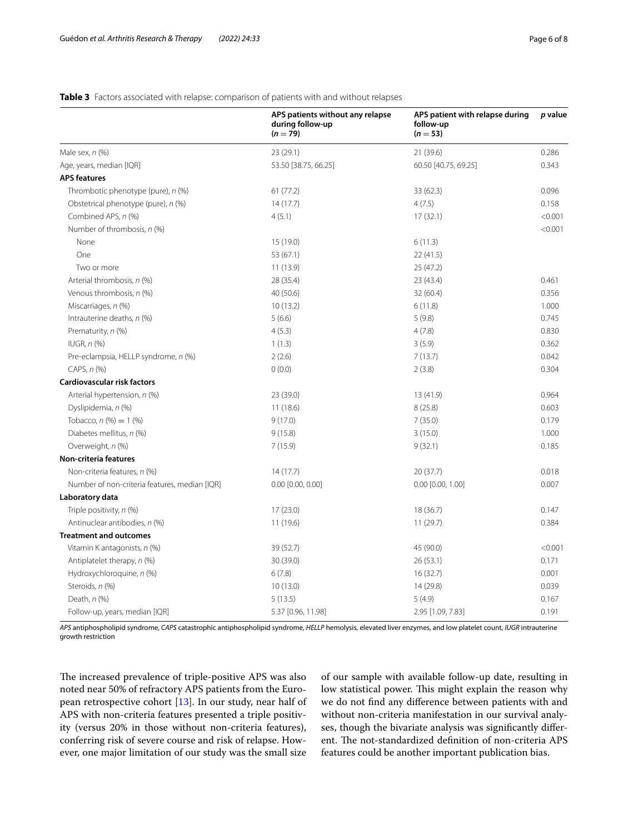# **APS patients without any relapse during follow-up**  $(n = 79)$ **APS patient with relapse during follow-up (***n* = **53)** *p* **value** Male sex, *n* (%) 28 (29.1) 23 (29.1) 23 (29.1) 23 (29.1) 21 (39.6) Age, years, median [IQR] 60.50 [40.75, 69.25] 60.50 [40.75, 69.25] 60.50 [40.75, 69.25] 60.50 [40.75, 69.25] 0.343 **APS features** Thrombotic phenotype (pure), *n* (%) 61 (77.2) 61 (77.2) 33 (62.3) 62.3) 0.096 Obstetrical phenotype (pure), *n* (%) 14 (17.7) 4 (7.5) 0.158 Combined APS, *n* (%)  $(96)$  (9.001) 4 (5.1)  $(17.1)$   $(32.1)$   $(50.001)$ Number of thrombosis, *n* (%) <0.001 None 6 (11.3) 6 (11.3) One 22 (41.5) 53 (67.1) 53 (67.1) 22 (41.5) Two or more 11 (13.9) 25 (47.2) Arterial thrombosis, *n* (%) 28 (35.4) 23 (43.4) 0.461 Venous thrombosis, *n* (%) 40 (50.6) 32 (60.4) 0.356 Miscarriages, *n* (%) 10 (13.2) 6 (11.8) 1.000 Intrauterine deaths, *n* (%) 6.6) 5 (6.6) 5 (9.8) 5 (9.8) 5 (9.8) 5 (9.8) Prematurity, *n* (%) 0.830 4 (5.3) 4 (5.3) 4 (7.8) 4 (7.8) IUGR, *n* (%) **1** (1.3) 3 (5.9) 0.362 Pre-eclampsia, HELLP syndrome, *n* (%) 2 (2.6) 2 (2.6) 7 (13.7) 7 (13.7) 0.042 CAPS, *n* (%) 0.304 **Cardiovascular risk factors** Arterial hypertension, *n* (%) 0.964 (39.0) 23 (39.0) 13 (41.9) 13 (41.9) 0.964 Dyslipidemia, *n* (%) 11 (18.6) 8 (25.8) 0.603 Tobacco, *n* (%) = 1 (%) 0.179 Diabetes mellitus, *n* (%) 1.000 **9** (15.8) 9 (15.8) 3 (15.0) 3 (15.0) Overweight, *n* (%) 0.185 (15.9) 7 (15.9) 9 (32.1) 9 (32.1) 0.185 **Non-criteria features** Non-criteria features, *n* (%) 14 (17.7) 20 (37.7) 20 (37.7) 0.018 Number of non-criteria features, median [IQR] 0.00 [0.00, 0.00] 0.000 [0.00, 0.00] 0.000 [0.00, 0.00] 0.007 **Laboratory data** Triple positivity, *n* (%) 0.147 (23.0) 17 (23.0) 18 (36.7) 18 (36.7) 0.147 Antinuclear antibodies, *n* (%) 11 (19.6) 11 (19.6) 11 (19.6) 11 (29.7) 0.384 **Treatment and outcomes** Vitamin K antagonists, *n* (%)  $(90.0)$  <0.001 Antiplatelet therapy, *n* (%) 0.171 Hydroxychloroquine, *n* (%) **6** (7.8) 6 (7.8) 16 (32.7) 0.001 Steroids, *n* (%) 10 (13.0) 10 (13.0) 12 (29.8) 14 (29.8) Death, *n* (%) 6.167 (%) 5 (13.5) 5 (13.5) 5 (4.9) 5 (4.9)

# **Table 3** Factors associated with relapse: comparison of patients with and without relapses

*APS* antiphospholipid syndrome, *CAPS* catastrophic antiphospholipid syndrome, *HELLP* hemolysis, elevated liver enzymes, and low platelet count, *IUGR* intrauterine growth restriction

Follow-up, years, median [IQR] 5.37 [0.96, 11.98] 2.95 [1.09, 7.83] 0.191

The increased prevalence of triple-positive APS was also noted near 50% of refractory APS patients from the European retrospective cohort [13]. In our study, near half of APS with non-criteria features presented a triple positivity (versus 20% in those without non-criteria features), conferring risk of severe course and risk of relapse. However, one major limitation of our study was the small size

of our sample with available follow-up date, resulting in low statistical power. This might explain the reason why we do not fnd any diference between patients with and without non-criteria manifestation in our survival analyses, though the bivariate analysis was signifcantly diferent. The not-standardized definition of non-criteria APS features could be another important publication bias.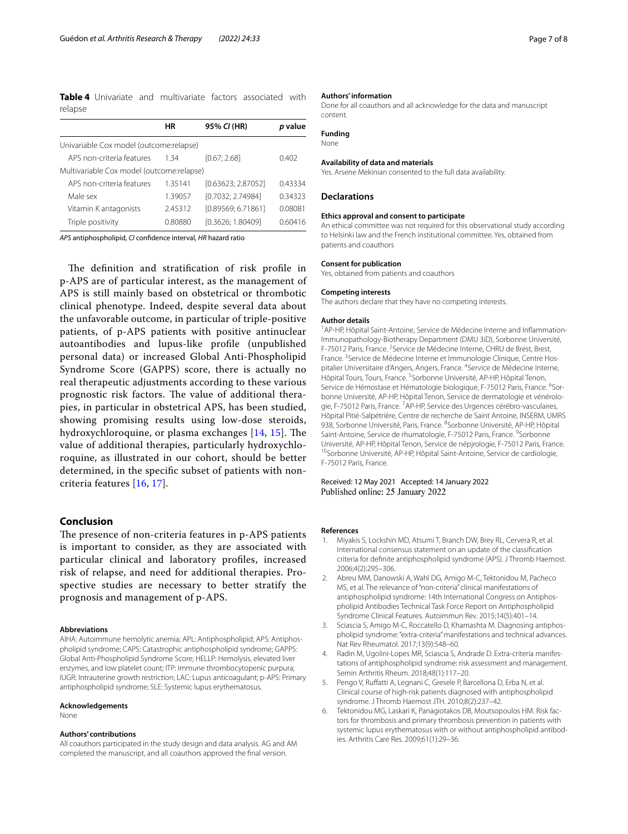**Table 4** Univariate and multivariate factors associated with relapse

|                                           | ΗR      | 95% CI (HR)        | <i>p</i> value |
|-------------------------------------------|---------|--------------------|----------------|
|                                           |         |                    |                |
| Univariable Cox model (outcome: relapse)  |         |                    |                |
| APS non-criteria features                 | 1 34    | [0.67:2.68]        | 0.402          |
| Multivariable Cox model (outcome:relapse) |         |                    |                |
| APS non-criteria features                 | 1.35141 | [0.63623: 2.87052] | 0.43334        |
| Male sex                                  | 1.39057 | [0.7032; 2.74984]  | 0.34323        |
| Vitamin K antagonists                     | 2.45312 | [0.89569: 6.71861] | 0.08081        |
| Triple positivity                         | 0.80880 | [0.3626; 1.80409]  | 0.60416        |
|                                           |         |                    |                |

*APS* antiphospholipid, *CI* confdence interval, *HR* hazard ratio

The definition and stratification of risk profile in p-APS are of particular interest, as the management of APS is still mainly based on obstetrical or thrombotic clinical phenotype. Indeed, despite several data about the unfavorable outcome, in particular of triple-positive patients, of p-APS patients with positive antinuclear autoantibodies and lupus-like profle (unpublished personal data) or increased Global Anti-Phospholipid Syndrome Score (GAPPS) score, there is actually no real therapeutic adjustments according to these various prognostic risk factors. The value of additional therapies, in particular in obstetrical APS, has been studied, showing promising results using low-dose steroids, hydroxychloroquine, or plasma exchanges  $[14, 15]$ . The value of additional therapies, particularly hydroxychloroquine, as illustrated in our cohort, should be better determined, in the specifc subset of patients with noncriteria features [16, 17].

# **Conclusion**

The presence of non-criteria features in p-APS patients is important to consider, as they are associated with particular clinical and laboratory profles, increased risk of relapse, and need for additional therapies. Prospective studies are necessary to better stratify the prognosis and management of p-APS.

#### **Abbreviations**

AIHA: Autoimmune hemolytic anemia; APL: Antiphospholipid; APS: Antiphospholipid syndrome; CAPS: Catastrophic antiphospholipid syndrome; GAPPS: Global Anti-Phospholipid Syndrome Score; HELLP: Hemolysis, elevated liver enzymes, and low platelet count; ITP: Immune thrombocytopenic purpura; IUGR: Intrauterine growth restriction; LAC: Lupus anticoagulant; p-APS: Primary antiphospholipid syndrome; SLE: Systemic lupus erythematosus.

#### **Acknowledgements**

None

#### **Authors' contributions**

All coauthors participated in the study design and data analysis. AG and AM completed the manuscript, and all coauthors approved the fnal version.

#### **Authors' information**

Done for all coauthors and all acknowledge for the data and manuscript content.

## **Funding**

None

#### **Availability of data and materials**

Yes. Arsene Mekinian consented to the full data availability.

### **Declarations**

#### **Ethics approval and consent to participate**

An ethical committee was not required for this observational study according to Helsinki law and the French institutional committee. Yes, obtained from patients and coauthors

#### **Consent for publication**

Yes, obtained from patients and coauthors

#### **Competing interests**

The authors declare that they have no competing interests.

#### **Author details**

<sup>1</sup> AP-HP, Hôpital Saint-Antoine, Service de Médecine Interne and Inflammation-Immunopathology-Biotherapy Department (DMU 3iD), Sorbonne Université, F-75012 Paris, France. <sup>2</sup> Service de Médecine Interne, CHRU de Brest, Brest, France.<sup>3</sup> Service de Médecine Interne et Immunologie Clinique, Centre Hospitalier Universitaire d'Angers, Angers, France. <sup>4</sup>Service de Médecine Interne, Hôpital Tours, Tours, France. <sup>5</sup>Sorbonne Université, AP-HP, Hôpital Tenon, Service de Hémostase et Hématologie biologique, F-75012 Paris, France. <sup>6</sup>Sorbonne Université, AP-HP, Hôpital Tenon, Service de dermatologie et vénérologie, F-75012 Paris, France. <sup>7</sup>AP-HP, Service des Urgences cérébro-vasculaires, Hôpital Pitié-Salpétrière, Centre de recherche de Saint Antoine, INSERM, UMRS 938, Sorbonne Université, Paris, France. <sup>8</sup>Sorbonne Université, AP-HP, Hôpital Saint-Antoine, Service de rhumatologie, F-75012 Paris, France. <sup>9</sup>Sorbonne Université, AP-HP, Hôpital Tenon, Service de népjrologie, F-75012 Paris, France.<br><sup>10</sup>Sorbonne Université, AP-HP, Hôpital Saint-Antoine, Service de cardiologie, F-75012 Paris, France.

Received: 12 May 2021 Accepted: 14 January 2022 Published online: 25 January 2022

#### **References**

- 1. Miyakis S, Lockshin MD, Atsumi T, Branch DW, Brey RL, Cervera R, et al. International consensus statement on an update of the classifcation criteria for defnite antiphospholipid syndrome (APS). J Thromb Haemost. 2006;4(2):295–306.
- 2. Abreu MM, Danowski A, Wahl DG, Amigo M-C, Tektonidou M, Pacheco MS, et al. The relevance of "non-criteria" clinical manifestations of antiphospholipid syndrome: 14th International Congress on Antiphospholipid Antibodies Technical Task Force Report on Antiphospholipid Syndrome Clinical Features. Autoimmun Rev. 2015;14(5):401–14.
- 3. Sciascia S, Amigo M-C, Roccatello D, Khamashta M. Diagnosing antiphospholipid syndrome: "extra-criteria" manifestations and technical advances. Nat Rev Rheumatol. 2017;13(9):548–60.
- 4. Radin M, Ugolini-Lopes MR, Sciascia S, Andrade D. Extra-criteria manifestations of antiphospholipid syndrome: risk assessment and management. Semin Arthritis Rheum. 2018;48(1):117–20.
- 5. Pengo V, Rufatti A, Legnani C, Gresele P, Barcellona D, Erba N, et al. Clinical course of high-risk patients diagnosed with antiphospholipid syndrome. J Thromb Haemost JTH. 2010;8(2):237–42.
- 6. Tektonidou MG, Laskari K, Panagiotakos DB, Moutsopoulos HM. Risk factors for thrombosis and primary thrombosis prevention in patients with systemic lupus erythematosus with or without antiphospholipid antibodies. Arthritis Care Res. 2009;61(1):29–36.